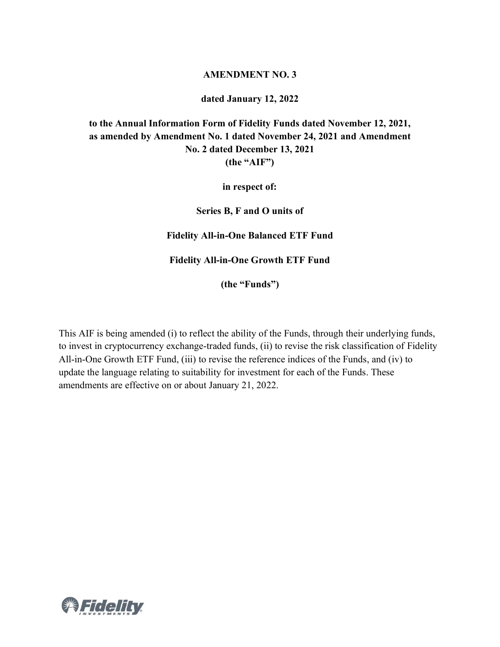## **AMENDMENT NO. 3**

**dated January 12, 2022**

## **to the Annual Information Form of Fidelity Funds dated November 12, 2021, as amended by Amendment No. 1 dated November 24, 2021 and Amendment No. 2 dated December 13, 2021 (the "AIF")**

**in respect of:**

**Series B, F and O units of** 

**Fidelity All-in-One Balanced ETF Fund**

**Fidelity All-in-One Growth ETF Fund**

**(the "Funds")**

This AIF is being amended (i) to reflect the ability of the Funds, through their underlying funds, to invest in cryptocurrency exchange-traded funds, (ii) to revise the risk classification of Fidelity All-in-One Growth ETF Fund, (iii) to revise the reference indices of the Funds, and (iv) to update the language relating to suitability for investment for each of the Funds. These amendments are effective on or about January 21, 2022.